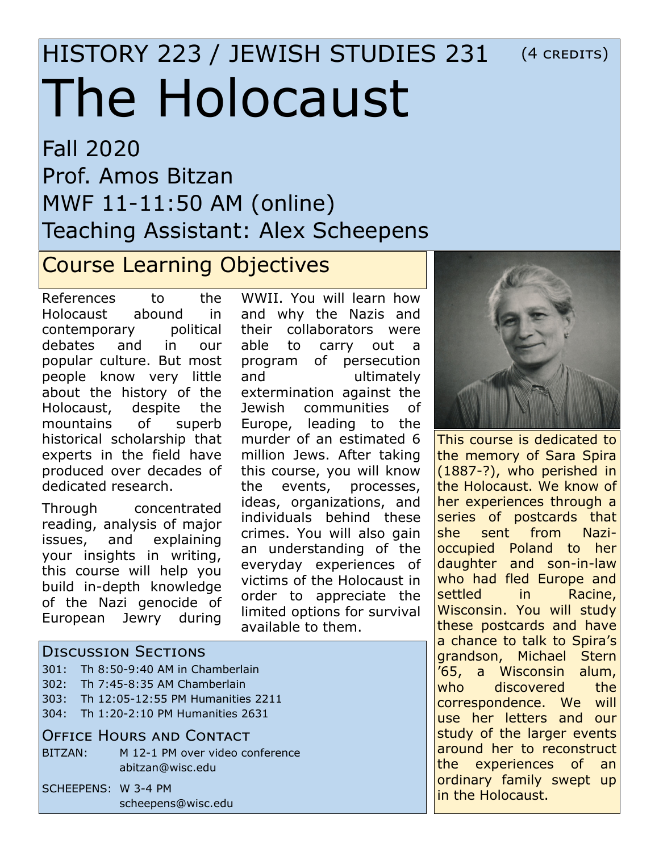## HISTORY 223 / JEWISH STUDIES 231 The Holocaust (4 credits)

Fall 2020 Prof. Amos Bitzan MWF 11-11:50 AM (online) Teaching Assistant: Alex Scheepens

## Course Learning Objectives

References to the Holocaust abound in contemporary political debates and in our popular culture. But most people know very little about the history of the Holocaust, despite the mountains of superb historical scholarship that experts in the field have produced over decades of dedicated research.

Through concentrated reading, analysis of major issues, and explaining your insights in writing, this course will help you build in-depth knowledge of the Nazi genocide of European Jewry during

WWII. You will learn how and why the Nazis and their collaborators were able to carry out a program of persecution and ultimately extermination against the Jewish communities of Europe, leading to the murder of an estimated 6 million Jews. After taking this course, you will know the events, processes, ideas, organizations, and individuals behind these crimes. You will also gain an understanding of the everyday experiences of victims of the Holocaust in order to appreciate the limited options for survival available to them.



This course is dedicated to the memory of Sara Spira (1887-?), who perished in the Holocaust. We know of her experiences through a series of postcards that she sent from Nazioccupied Poland to her daughter and son-in-law who had fled Europe and settled in Racine, Wisconsin. You will study these postcards and have a chance to talk to Spira's grandson, Michael Stern '65, a Wisconsin alum, who discovered the correspondence. We will use her letters and our study of the larger events around her to reconstruct the experiences of an ordinary family swept up in the Holocaust.

### Discussion Sections

- 301: Th 8:50-9:40 AM in Chamberlain
- 302: Th 7:45-8:35 AM Chamberlain
- 303: Th 12:05-12:55 PM Humanities 2211
- 304: Th 1:20-2:10 PM Humanities 2631

#### Office Hours and Contact

BITZAN: M 12-1 PM over video conference abitzan@wisc.edu

SCHEEPENS: W 3-4 PM scheepens@wisc.edu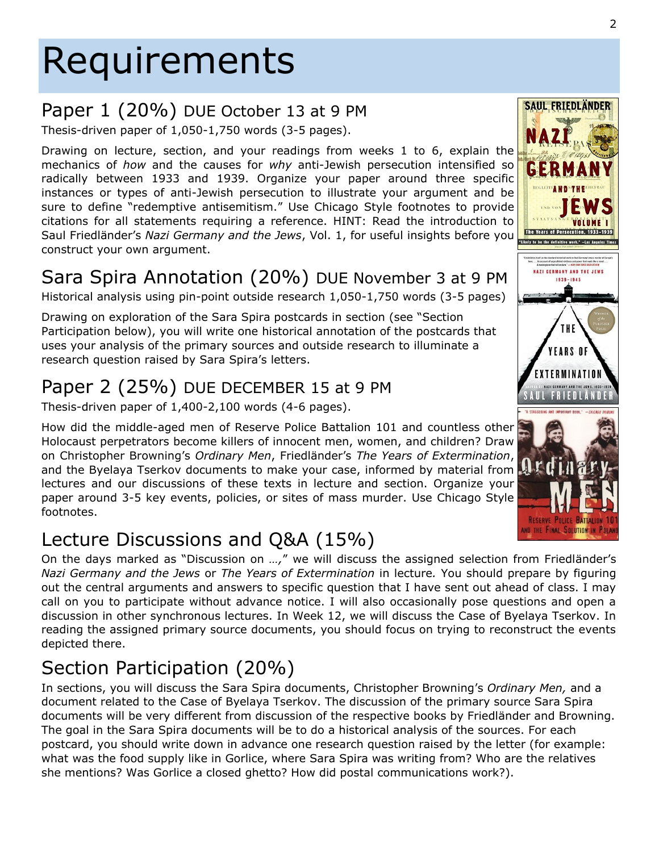# Requirements

### Paper 1 (20%) DUE October 13 at 9 PM

Thesis-driven paper of 1,050-1,750 words (3-5 pages).

Drawing on lecture, section, and your readings from weeks 1 to 6, explain the mechanics of *how* and the causes for *why* anti-Jewish persecution intensified so radically between 1933 and 1939. Organize your paper around three specific instances or types of anti-Jewish persecution to illustrate your argument and be sure to define "redemptive antisemitism." Use Chicago Style footnotes to provide citations for all statements requiring a reference. HINT: Read the introduction to Saul Friedländer's *Nazi Germany and the Jews*, Vol. 1, for useful insights before you construct your own argument.

## Sara Spira Annotation (20%) DUE November 3 at 9 PM

Historical analysis using pin-point outside research 1,050-1,750 words (3-5 pages)

Drawing on exploration of the Sara Spira postcards in section (see "Section Participation below), you will write one historical annotation of the postcards that uses your analysis of the primary sources and outside research to illuminate a research question raised by Sara Spira's letters.

## Paper 2 (25%) DUE DECEMBER 15 at 9 PM

Thesis-driven paper of 1,400-2,100 words (4-6 pages).

How did the middle-aged men of Reserve Police Battalion 101 and countless other Holocaust perpetrators become killers of innocent men, women, and children? Draw on Christopher Browning's *Ordinary Men*, Friedländer's *The Years of Extermination*, and the Byelaya Tserkov documents to make your case, informed by material from lectures and our discussions of these texts in lecture and section. Organize your paper around 3-5 key events, policies, or sites of mass murder. Use Chicago Style footnotes.

## Lecture Discussions and Q&A (15%)

On the days marked as "Discussion on *…,*" we will discuss the assigned selection from Friedländer's *Nazi Germany and the Jews* or *The Years of Extermination* in lecture*.* You should prepare by figuring out the central arguments and answers to specific question that I have sent out ahead of class. I may call on you to participate without advance notice. I will also occasionally pose questions and open a discussion in other synchronous lectures. In Week 12, we will discuss the Case of Byelaya Tserkov. In reading the assigned primary source documents, you should focus on trying to reconstruct the events depicted there.

## Section Participation (20%)

In sections, you will discuss the Sara Spira documents, Christopher Browning's *Ordinary Men,* and a document related to the Case of Byelaya Tserkov. The discussion of the primary source Sara Spira documents will be very different from discussion of the respective books by Friedländer and Browning. The goal in the Sara Spira documents will be to do a historical analysis of the sources. For each postcard, you should write down in advance one research question raised by the letter (for example: what was the food supply like in Gorlice, where Sara Spira was writing from? Who are the relatives she mentions? Was Gorlice a closed ghetto? How did postal communications work?).



**SAUL FRIEDLÄNDER**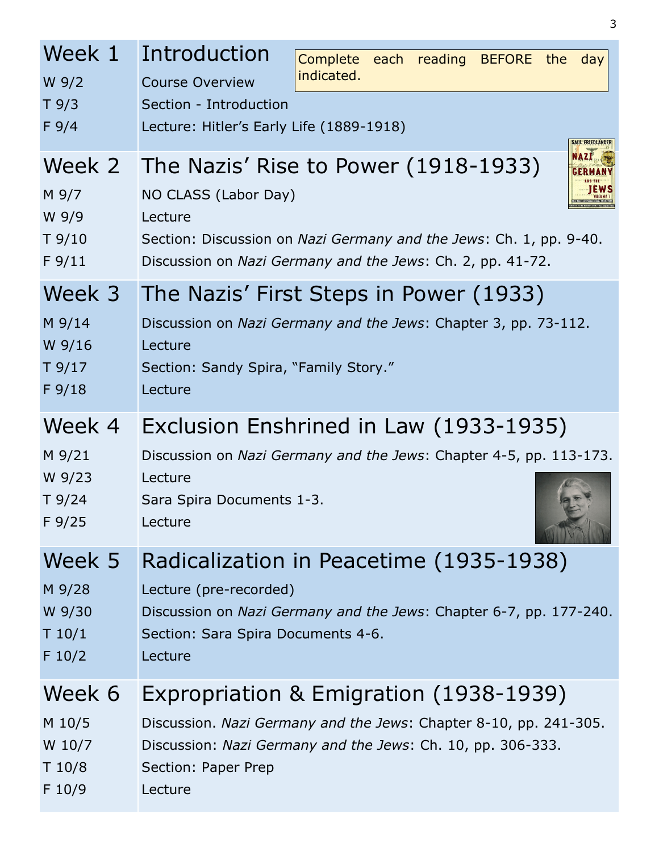| Week 1<br>$W$ 9/2<br>T9/3<br>F9/4 | Introduction<br>Complete each reading BEFORE the<br>day<br>indicated.<br><b>Course Overview</b><br>Section - Introduction<br>Lecture: Hitler's Early Life (1889-1918)<br><b>SAUL FRIEDLANDER</b>                                  |  |  |
|-----------------------------------|-----------------------------------------------------------------------------------------------------------------------------------------------------------------------------------------------------------------------------------|--|--|
| M 9/7<br>W 9/9<br>T9/10<br>F 9/11 | <b>NAZÍ</b><br>Week 2 The Nazis' Rise to Power (1918-1933)<br>NO CLASS (Labor Day)<br>Lecture<br>Section: Discussion on Nazi Germany and the Jews: Ch. 1, pp. 9-40.<br>Discussion on Nazi Germany and the Jews: Ch. 2, pp. 41-72. |  |  |
| Week 3                            | The Nazis' First Steps in Power (1933)                                                                                                                                                                                            |  |  |
| M 9/14                            | Discussion on Nazi Germany and the Jews: Chapter 3, pp. 73-112.                                                                                                                                                                   |  |  |
| W 9/16                            | Lecture                                                                                                                                                                                                                           |  |  |
| T9/17                             | Section: Sandy Spira, "Family Story."                                                                                                                                                                                             |  |  |
| F 9/18                            | Lecture                                                                                                                                                                                                                           |  |  |
| Week 4                            | Exclusion Enshrined in Law (1933-1935)                                                                                                                                                                                            |  |  |
| M 9/21                            | Discussion on Nazi Germany and the Jews: Chapter 4-5, pp. 113-173.                                                                                                                                                                |  |  |
| W 9/23                            | Lecture                                                                                                                                                                                                                           |  |  |
| T9/24                             | Sara Spira Documents 1-3.                                                                                                                                                                                                         |  |  |
| F9/25                             | Lecture                                                                                                                                                                                                                           |  |  |
| Week 5                            | Radicalization in Peacetime (1935-1938)                                                                                                                                                                                           |  |  |
| M 9/28                            | Lecture (pre-recorded)                                                                                                                                                                                                            |  |  |
| W 9/30                            | Discussion on Nazi Germany and the Jews: Chapter 6-7, pp. 177-240.                                                                                                                                                                |  |  |
| T 10/1                            | Section: Sara Spira Documents 4-6.                                                                                                                                                                                                |  |  |
| F 10/2                            | Lecture                                                                                                                                                                                                                           |  |  |
| Week 6                            | Expropriation & Emigration (1938-1939)                                                                                                                                                                                            |  |  |
| M 10/5                            | Discussion. Nazi Germany and the Jews: Chapter 8-10, pp. 241-305.                                                                                                                                                                 |  |  |
| W 10/7                            | Discussion: Nazi Germany and the Jews: Ch. 10, pp. 306-333.                                                                                                                                                                       |  |  |
| T 10/8                            | Section: Paper Prep                                                                                                                                                                                                               |  |  |
| F 10/9                            | Lecture                                                                                                                                                                                                                           |  |  |

3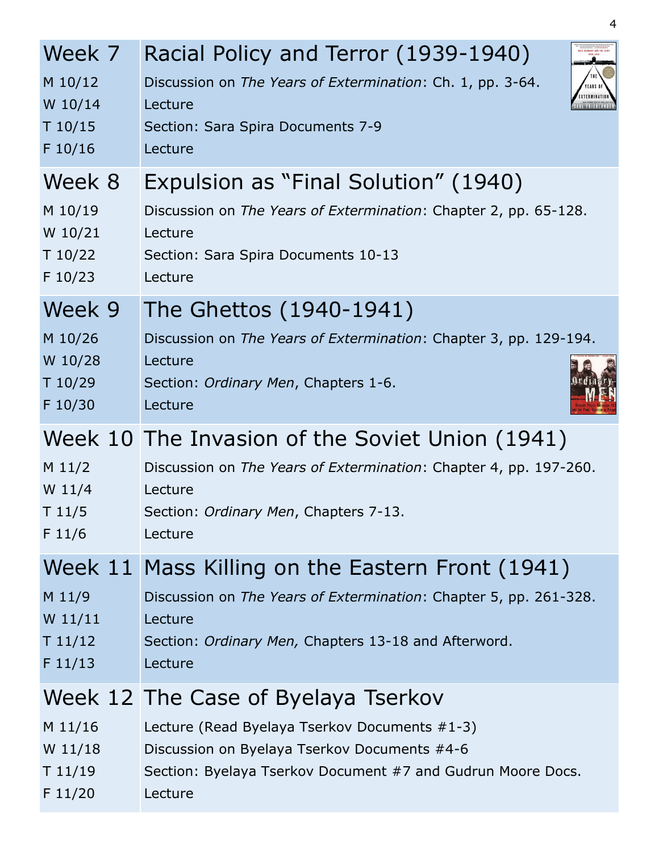| Week 7<br>M 10/12<br>W 10/14<br>T 10/15<br>F 10/16 | Racial Policy and Terror (1939-1940)<br>Discussion on The Years of Extermination: Ch. 1, pp. 3-64.<br>YEARS O<br>Lecture<br>Section: Sara Spira Documents 7-9<br>Lecture                            |  |
|----------------------------------------------------|-----------------------------------------------------------------------------------------------------------------------------------------------------------------------------------------------------|--|
| Week 8<br>M 10/19<br>W 10/21<br>T 10/22<br>F 10/23 | Expulsion as "Final Solution" (1940)<br>Discussion on The Years of Extermination: Chapter 2, pp. 65-128.<br>Lecture<br>Section: Sara Spira Documents 10-13<br>Lecture                               |  |
| Week 9<br>M 10/26<br>W 10/28<br>T 10/29<br>F 10/30 | The Ghettos (1940-1941)<br>Discussion on The Years of Extermination: Chapter 3, pp. 129-194.<br>Lecture<br>Section: Ordinary Men, Chapters 1-6.<br>Lecture                                          |  |
| $M$ 11/2<br>$W$ 11/4<br>T11/5<br>F 11/6            | Week 10 The Invasion of the Soviet Union (1941)<br>Discussion on The Years of Extermination: Chapter 4, pp. 197-260.<br>Lecture<br>Section: Ordinary Men, Chapters 7-13.<br>Lecture                 |  |
|                                                    |                                                                                                                                                                                                     |  |
| $M$ 11/9<br>$W$ 11/11<br>T11/12<br>F 11/13         | Week 11 Mass Killing on the Eastern Front (1941)<br>Discussion on The Years of Extermination: Chapter 5, pp. 261-328.<br>Lecture<br>Section: Ordinary Men, Chapters 13-18 and Afterword.<br>Lecture |  |

4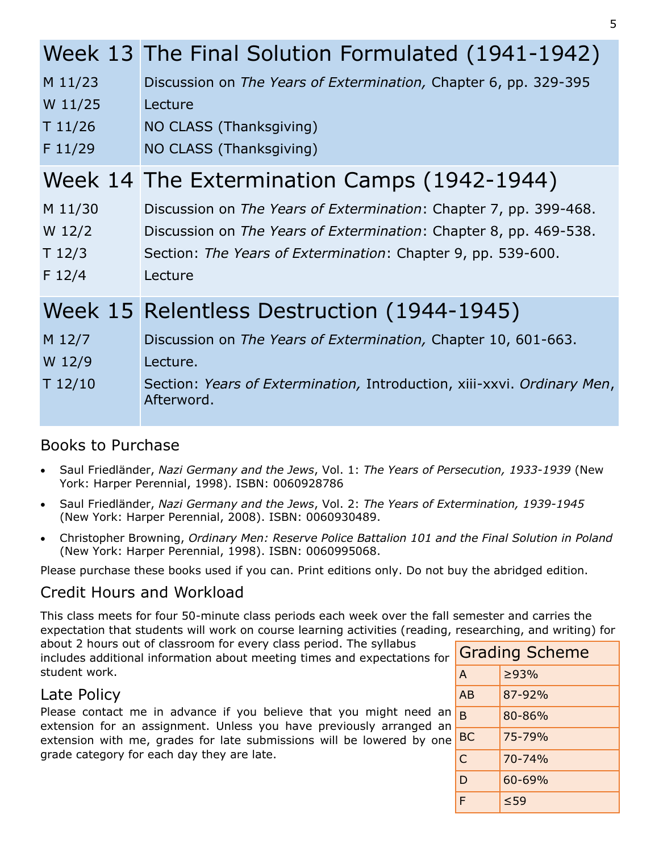|          | Week 13 The Final Solution Formulated (1941-1942)                                     |
|----------|---------------------------------------------------------------------------------------|
| M 11/23  | Discussion on The Years of Extermination, Chapter 6, pp. 329-395                      |
| W 11/25  | Lecture                                                                               |
| T 11/26  | NO CLASS (Thanksgiving)                                                               |
| F 11/29  | NO CLASS (Thanksgiving)                                                               |
|          | Week 14 The Extermination Camps (1942-1944)                                           |
| M 11/30  | Discussion on The Years of Extermination: Chapter 7, pp. 399-468.                     |
| $W$ 12/2 | Discussion on The Years of Extermination: Chapter 8, pp. 469-538.                     |
| T12/3    | Section: The Years of Extermination: Chapter 9, pp. 539-600.                          |
| F 12/4   | Lecture                                                                               |
|          | Week 15 Relentless Destruction (1944-1945)                                            |
| M 12/7   | Discussion on The Years of Extermination, Chapter 10, 601-663.                        |
| W 12/9   | Lecture.                                                                              |
| T 12/10  | Section: Years of Extermination, Introduction, xiii-xxvi. Ordinary Men,<br>Afterword. |

#### Books to Purchase

- Saul Friedländer, *Nazi Germany and the Jews*, Vol. 1: *The Years of Persecution, 1933-1939* (New York: Harper Perennial, 1998). ISBN: 0060928786
- Saul Friedländer, *Nazi Germany and the Jews*, Vol. 2: *The Years of Extermination, 1939-1945* (New York: Harper Perennial, 2008). ISBN: 0060930489.
- Christopher Browning, *Ordinary Men: Reserve Police Battalion 101 and the Final Solution in Poland*  (New York: Harper Perennial, 1998). ISBN: 0060995068.

Please purchase these books used if you can. Print editions only. Do not buy the abridged edition.

#### Credit Hours and Workload

This class meets for four 50-minute class periods each week over the fall semester and carries the expectation that students will work on course learning activities (reading, researching, and writing) for

about 2 hours out of classroom for every class period. The syllabus includes additional information about meeting times and expectations for student work.

#### Late Policy

Please contact me in advance if you believe that you might need an extension for an assignment. Unless you have previously arranged an extension with me, grades for late submissions will be lowered by one grade category for each day they are late.

|              | <b>Grading Scheme</b> |  |  |
|--------------|-----------------------|--|--|
| A            | >93%                  |  |  |
| AB           | 87-92%                |  |  |
| <sub>B</sub> | 80-86%                |  |  |
| <b>BC</b>    | 75-79%                |  |  |
| Ċ            | 70-74%                |  |  |
| D            | 60-69%                |  |  |
| F            | $\leq 59$             |  |  |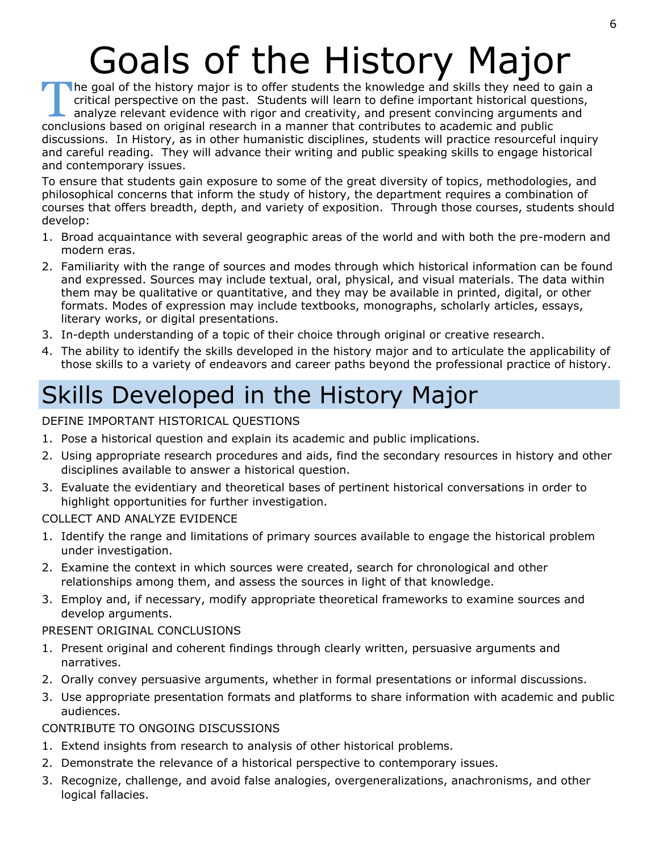# Goals of the History Major

The goal of the history major is to offer students the knowledge and skills they need to critical perspective on the past. Students will learn to define important historical ques analyze relevant evidence with rigor and cr The goal of the history major is to offer students the knowledge and skills they need to gain a critical perspective on the past. Students will learn to define important historical questions, analyze relevant evidence with rigor and creativity, and present convincing arguments and discussions. In History, as in other humanistic disciplines, students will practice resourceful inquiry and careful reading. They will advance their writing and public speaking skills to engage historical and contemporary issues.

To ensure that students gain exposure to some of the great diversity of topics, methodologies, and philosophical concerns that inform the study of history, the department requires a combination of courses that offers breadth, depth, and variety of exposition. Through those courses, students should develop:

- 1. Broad acquaintance with several geographic areas of the world and with both the pre-modern and modern eras.
- 2. Familiarity with the range of sources and modes through which historical information can be found and expressed. Sources may include textual, oral, physical, and visual materials. The data within them may be qualitative or quantitative, and they may be available in printed, digital, or other formats. Modes of expression may include textbooks, monographs, scholarly articles, essays, literary works, or digital presentations.
- 3. In-depth understanding of a topic of their choice through original or creative research.
- 4. The ability to identify the skills developed in the history major and to articulate the applicability of those skills to a variety of endeavors and career paths beyond the professional practice of history.

## Skills Developed in the History Major

#### DEFINE IMPORTANT HISTORICAL QUESTIONS

- 1. Pose a historical question and explain its academic and public implications.
- 2. Using appropriate research procedures and aids, find the secondary resources in history and other disciplines available to answer a historical question.
- 3. Evaluate the evidentiary and theoretical bases of pertinent historical conversations in order to highlight opportunities for further investigation.

#### COLLECT AND ANALYZE EVIDENCE

- 1. Identify the range and limitations of primary sources available to engage the historical problem under investigation.
- 2. Examine the context in which sources were created, search for chronological and other relationships among them, and assess the sources in light of that knowledge.
- 3. Employ and, if necessary, modify appropriate theoretical frameworks to examine sources and develop arguments.

#### PRESENT ORIGINAL CONCLUSIONS

- 1. Present original and coherent findings through clearly written, persuasive arguments and narratives.
- 2. Orally convey persuasive arguments, whether in formal presentations or informal discussions.
- 3. Use appropriate presentation formats and platforms to share information with academic and public audiences.

#### CONTRIBUTE TO ONGOING DISCUSSIONS

- 1. Extend insights from research to analysis of other historical problems.
- 2. Demonstrate the relevance of a historical perspective to contemporary issues.
- 3. Recognize, challenge, and avoid false analogies, overgeneralizations, anachronisms, and other logical fallacies.